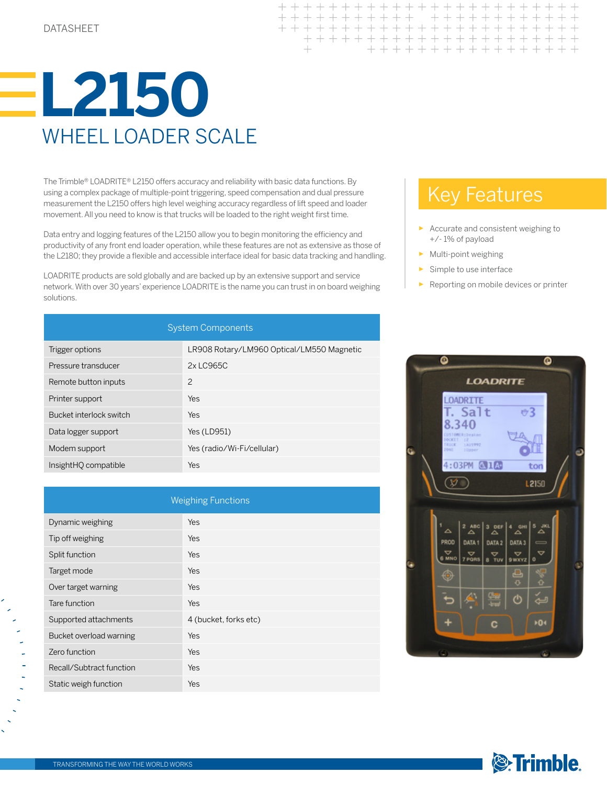

The Trimble® LOADRITE® L2150 offers accuracy and reliability with basic data functions. By using a complex package of multiple-point triggering, speed compensation and dual pressure measurement the L2150 offers high level weighing accuracy regardless of lift speed and loader movement. All you need to know is that trucks will be loaded to the right weight first time.

Data entry and logging features of the L2150 allow you to begin monitoring the efficiency and productivity of any front end loader operation, while these features are not as extensive as those of the L2180; they provide a flexible and accessible interface ideal for basic data tracking and handling.

LOADRITE products are sold globally and are backed up by an extensive support and service network. With over 30 years' experience LOADRITE is the name you can trust in on board weighing solutions.

| <b>System Components</b> |                                           |  |
|--------------------------|-------------------------------------------|--|
| Trigger options          | LR908 Rotary/LM960 Optical/LM550 Magnetic |  |
| Pressure transducer      | 2x LC965C                                 |  |
| Remote button inputs     | 2                                         |  |
| Printer support          | Yes                                       |  |
| Bucket interlock switch  | Yes                                       |  |
| Data logger support      | Yes (LD951)                               |  |
| Modem support            | Yes (radio/Wi-Fi/cellular)                |  |
| InsightHO compatible     | Yes                                       |  |

| <b>Weighing Functions</b> |                       |  |
|---------------------------|-----------------------|--|
| Dynamic weighing          | Yes                   |  |
| Tip off weighing          | Yes                   |  |
| Split function            | Yes                   |  |
| Target mode               | Yes                   |  |
| Over target warning       | Yes                   |  |
| Tare function             | Yes                   |  |
| Supported attachments     | 4 (bucket, forks etc) |  |
| Bucket overload warning   | Yes                   |  |
| Zero function             | Yes                   |  |
| Recall/Subtract function  | Yes                   |  |
| Static weigh function     | Yes                   |  |

## Key Features

 $+ + + + +$ 

 $+$ 

+ + + + + + + + +

- Accurate and consistent weighing to +/- 1% of payload
- ► Multi-point weighing

+ + + + + + + + +

+ + + + + + + + + + +

- Simple to use interface
- Reporting on mobile devices or printer